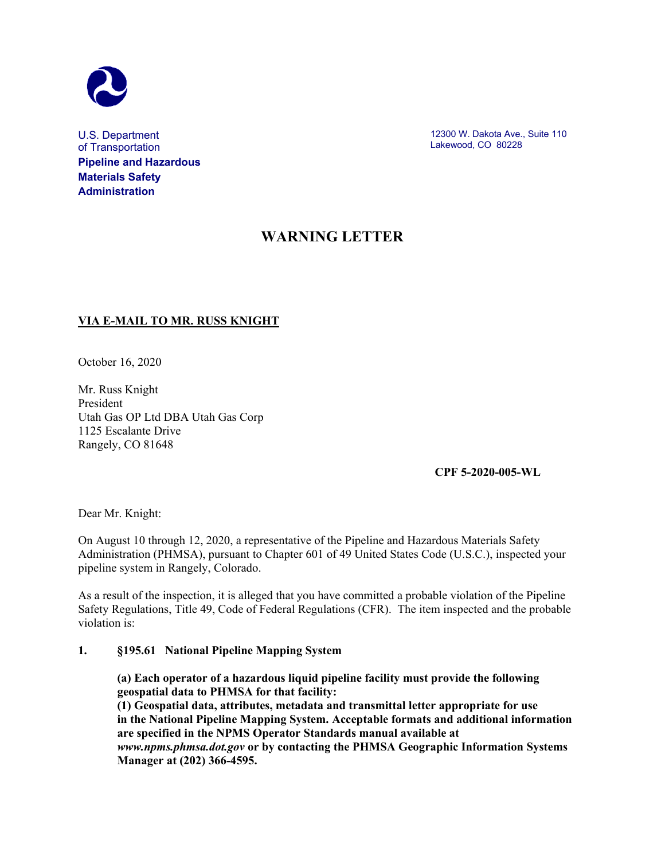

U.S. Department of Transportation **Pipeline and Hazardous Materials Safety Administration**

12300 W. Dakota Ave., Suite 110 Lakewood, CO 80228

## **WARNING LETTER**

## **VIA E-MAIL TO MR. RUSS KNIGHT**

October 16, 2020

Mr. Russ Knight President Utah Gas OP Ltd DBA Utah Gas Corp 1125 Escalante Drive Rangely, CO 81648

**CPF 5-2020-005-WL**

Dear Mr. Knight:

On August 10 through 12, 2020, a representative of the Pipeline and Hazardous Materials Safety Administration (PHMSA), pursuant to Chapter 601 of 49 United States Code (U.S.C.), inspected your pipeline system in Rangely, Colorado.

As a result of the inspection, it is alleged that you have committed a probable violation of the Pipeline Safety Regulations, Title 49, Code of Federal Regulations (CFR). The item inspected and the probable violation is:

## **1. §195.61 National Pipeline Mapping System**

**(a) Each operator of a hazardous liquid pipeline facility must provide the following geospatial data to PHMSA for that facility:**

**(1) Geospatial data, attributes, metadata and transmittal letter appropriate for use in the National Pipeline Mapping System. Acceptable formats and additional information are specified in the NPMS Operator Standards manual available at**  *www.npms.phmsa.dot.gov* **or by contacting the PHMSA Geographic Information Systems Manager at (202) 366-4595.**